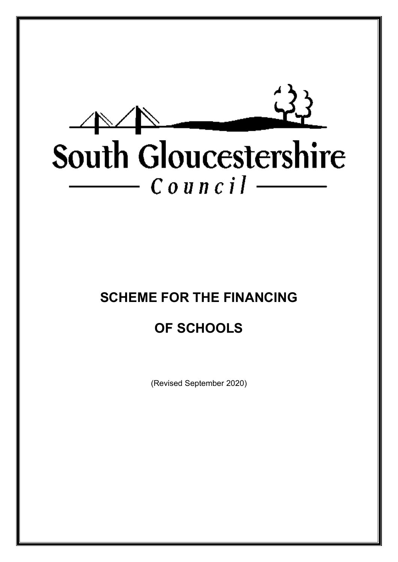

# **SCHEME FOR THE FINANCING**

## **OF SCHOOLS**

(Revised September 2020)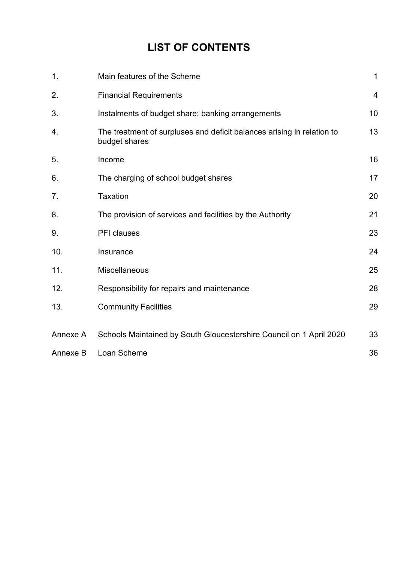## **LIST OF CONTENTS**

| 1.       | Main features of the Scheme                                                             | $\mathbf 1$    |
|----------|-----------------------------------------------------------------------------------------|----------------|
| 2.       | <b>Financial Requirements</b>                                                           | $\overline{4}$ |
| 3.       | Instalments of budget share; banking arrangements                                       | 10             |
| 4.       | The treatment of surpluses and deficit balances arising in relation to<br>budget shares | 13             |
| 5.       | Income                                                                                  | 16             |
| 6.       | The charging of school budget shares                                                    | 17             |
| 7.       | <b>Taxation</b>                                                                         | 20             |
| 8.       | The provision of services and facilities by the Authority                               | 21             |
| 9.       | PFI clauses                                                                             | 23             |
| 10.      | Insurance                                                                               | 24             |
| 11.      | Miscellaneous                                                                           | 25             |
| 12.      | Responsibility for repairs and maintenance                                              | 28             |
| 13.      | <b>Community Facilities</b>                                                             | 29             |
|          |                                                                                         |                |
| Annexe A | Schools Maintained by South Gloucestershire Council on 1 April 2020                     | 33             |
| Annexe B | Loan Scheme                                                                             | 36             |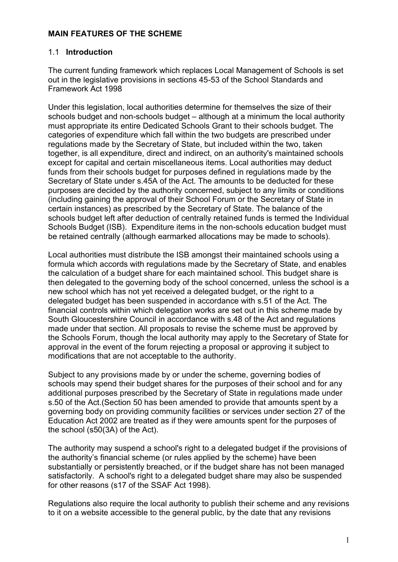#### **MAIN FEATURES OF THE SCHEME**

#### 1.1 **Introduction**

The current funding framework which replaces Local Management of Schools is set out in the legislative provisions in sections 45-53 of the School Standards and Framework Act 1998

Under this legislation, local authorities determine for themselves the size of their schools budget and non-schools budget – although at a minimum the local authority must appropriate its entire Dedicated Schools Grant to their schools budget. The categories of expenditure which fall within the two budgets are prescribed under regulations made by the Secretary of State, but included within the two, taken together, is all expenditure, direct and indirect, on an authority's maintained schools except for capital and certain miscellaneous items. Local authorities may deduct funds from their schools budget for purposes defined in regulations made by the Secretary of State under s.45A of the Act. The amounts to be deducted for these purposes are decided by the authority concerned, subject to any limits or conditions (including gaining the approval of their School Forum or the Secretary of State in certain instances) as prescribed by the Secretary of State. The balance of the schools budget left after deduction of centrally retained funds is termed the Individual Schools Budget (ISB). Expenditure items in the non-schools education budget must be retained centrally (although earmarked allocations may be made to schools).

Local authorities must distribute the ISB amongst their maintained schools using a formula which accords with regulations made by the Secretary of State, and enables the calculation of a budget share for each maintained school. This budget share is then delegated to the governing body of the school concerned, unless the school is a new school which has not yet received a delegated budget, or the right to a delegated budget has been suspended in accordance with s.51 of the Act. The financial controls within which delegation works are set out in this scheme made by South Gloucestershire Council in accordance with s.48 of the Act and regulations made under that section. All proposals to revise the scheme must be approved by the Schools Forum, though the local authority may apply to the Secretary of State for approval in the event of the forum rejecting a proposal or approving it subject to modifications that are not acceptable to the authority.

Subject to any provisions made by or under the scheme, governing bodies of schools may spend their budget shares for the purposes of their school and for any additional purposes prescribed by the Secretary of State in regulations made under s.50 of the Act.(Section 50 has been amended to provide that amounts spent by a governing body on providing community facilities or services under section 27 of the Education Act 2002 are treated as if they were amounts spent for the purposes of the school (s50(3A) of the Act).

The authority may suspend a school's right to a delegated budget if the provisions of the authority's financial scheme (or rules applied by the scheme) have been substantially or persistently breached, or if the budget share has not been managed satisfactorily. A school's right to a delegated budget share may also be suspended for other reasons (s17 of the SSAF Act 1998).

Regulations also require the local authority to publish their scheme and any revisions to it on a website accessible to the general public, by the date that any revisions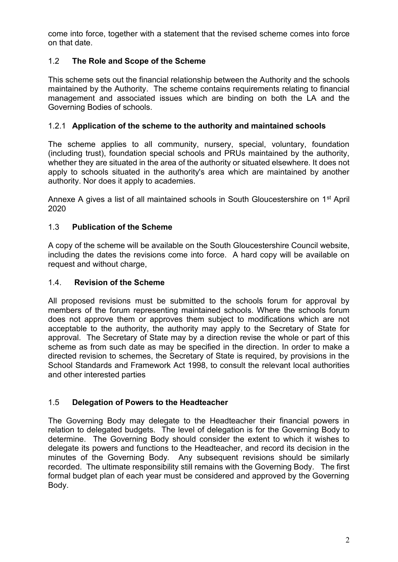come into force, together with a statement that the revised scheme comes into force on that date.

## 1.2 **The Role and Scope of the Scheme**

This scheme sets out the financial relationship between the Authority and the schools maintained by the Authority. The scheme contains requirements relating to financial management and associated issues which are binding on both the LA and the Governing Bodies of schools.

#### 1.2.1 **Application of the scheme to the authority and maintained schools**

The scheme applies to all community, nursery, special, voluntary, foundation (including trust), foundation special schools and PRUs maintained by the authority, whether they are situated in the area of the authority or situated elsewhere. It does not apply to schools situated in the authority's area which are maintained by another authority. Nor does it apply to academies.

Annexe A gives a list of all maintained schools in South Gloucestershire on 1<sup>st</sup> April 2020

### 1.3 **Publication of the Scheme**

A copy of the scheme will be available on the South Gloucestershire Council website, including the dates the revisions come into force. A hard copy will be available on request and without charge,

#### 1.4. **Revision of the Scheme**

All proposed revisions must be submitted to the schools forum for approval by members of the forum representing maintained schools. Where the schools forum does not approve them or approves them subject to modifications which are not acceptable to the authority, the authority may apply to the Secretary of State for approval. The Secretary of State may by a direction revise the whole or part of this scheme as from such date as may be specified in the direction. In order to make a directed revision to schemes, the Secretary of State is required, by provisions in the School Standards and Framework Act 1998, to consult the relevant local authorities and other interested parties

#### 1.5 **Delegation of Powers to the Headteacher**

The Governing Body may delegate to the Headteacher their financial powers in relation to delegated budgets. The level of delegation is for the Governing Body to determine. The Governing Body should consider the extent to which it wishes to delegate its powers and functions to the Headteacher, and record its decision in the minutes of the Governing Body. Any subsequent revisions should be similarly recorded. The ultimate responsibility still remains with the Governing Body. The first formal budget plan of each year must be considered and approved by the Governing Body.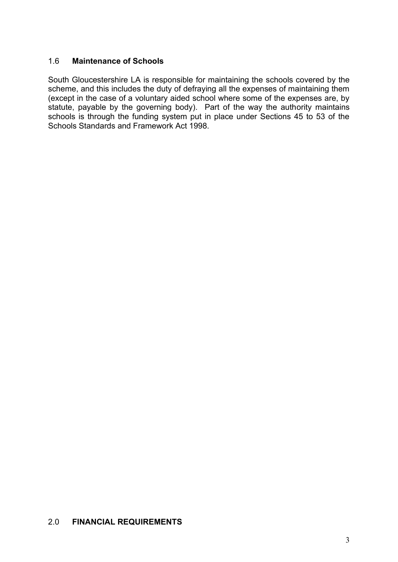#### 1.6 **Maintenance of Schools**

South Gloucestershire LA is responsible for maintaining the schools covered by the scheme, and this includes the duty of defraying all the expenses of maintaining them (except in the case of a voluntary aided school where some of the expenses are, by statute, payable by the governing body). Part of the way the authority maintains schools is through the funding system put in place under Sections 45 to 53 of the Schools Standards and Framework Act 1998.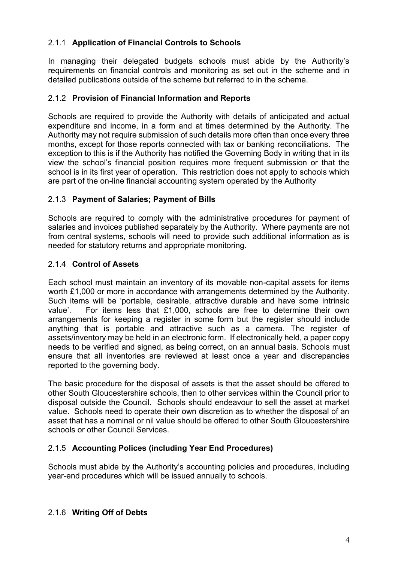## 2.1.1 **Application of Financial Controls to Schools**

In managing their delegated budgets schools must abide by the Authority's requirements on financial controls and monitoring as set out in the scheme and in detailed publications outside of the scheme but referred to in the scheme.

#### 2.1.2 **Provision of Financial Information and Reports**

Schools are required to provide the Authority with details of anticipated and actual expenditure and income, in a form and at times determined by the Authority. The Authority may not require submission of such details more often than once every three months, except for those reports connected with tax or banking reconciliations. The exception to this is if the Authority has notified the Governing Body in writing that in its view the school's financial position requires more frequent submission or that the school is in its first year of operation. This restriction does not apply to schools which are part of the on-line financial accounting system operated by the Authority

### 2.1.3 **Payment of Salaries; Payment of Bills**

Schools are required to comply with the administrative procedures for payment of salaries and invoices published separately by the Authority. Where payments are not from central systems, schools will need to provide such additional information as is needed for statutory returns and appropriate monitoring.

### 2.1.4 **Control of Assets**

Each school must maintain an inventory of its movable non-capital assets for items worth £1,000 or more in accordance with arrangements determined by the Authority. Such items will be 'portable, desirable, attractive durable and have some intrinsic value'. For items less that £1,000, schools are free to determine their own arrangements for keeping a register in some form but the register should include anything that is portable and attractive such as a camera. The register of assets/inventory may be held in an electronic form. If electronically held, a paper copy needs to be verified and signed, as being correct, on an annual basis. Schools must ensure that all inventories are reviewed at least once a year and discrepancies reported to the governing body.

The basic procedure for the disposal of assets is that the asset should be offered to other South Gloucestershire schools, then to other services within the Council prior to disposal outside the Council. Schools should endeavour to sell the asset at market value. Schools need to operate their own discretion as to whether the disposal of an asset that has a nominal or nil value should be offered to other South Gloucestershire schools or other Council Services.

### 2.1.5 **Accounting Polices (including Year End Procedures)**

Schools must abide by the Authority's accounting policies and procedures, including year-end procedures which will be issued annually to schools.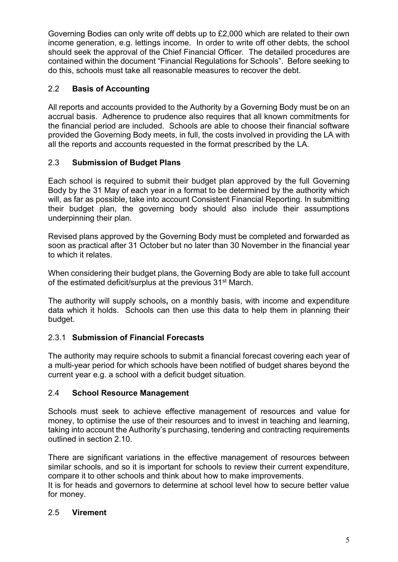Governing Bodies can only write off debts up to £2,000 which are related to their own income generation, e.g. lettings income. In order to write off other debts, the school should seek the approval of the Chief Financial Officer. The detailed procedures are contained within the document "Financial Regulations for Schools". Before seeking to do this, schools must take all reasonable measures to recover the debt.

## 2.2 **Basis of Accounting**

All reports and accounts provided to the Authority by a Governing Body must be on an accrual basis. Adherence to prudence also requires that all known commitments for the financial period are included. Schools are able to choose their financial software provided the Governing Body meets, in full, the costs involved in providing the LA with all the reports and accounts requested in the format prescribed by the LA.

## 2.3 **Submission of Budget Plans**

Each school is required to submit their budget plan approved by the full Governing Body by the 31 May of each year in a format to be determined by the authority which will, as far as possible, take into account Consistent Financial Reporting. In submitting their budget plan, the governing body should also include their assumptions underpinning their plan.

Revised plans approved by the Governing Body must be completed and forwarded as soon as practical after 31 October but no later than 30 November in the financial year to which it relates.

When considering their budget plans, the Governing Body are able to take full account of the estimated deficit/surplus at the previous 31st March.

The authority will supply schools**,** on a monthly basis, with income and expenditure data which it holds. Schools can then use this data to help them in planning their budget.

## 2.3.1 **Submission of Financial Forecasts**

The authority may require schools to submit a financial forecast covering each year of a multi-year period for which schools have been notified of budget shares beyond the current year e.g. a school with a deficit budget situation.

## 2.4 **School Resource Management**

Schools must seek to achieve effective management of resources and value for money, to optimise the use of their resources and to invest in teaching and learning, taking into account the Authority's purchasing, tendering and contracting requirements outlined in section 2.10.

There are significant variations in the effective management of resources between similar schools, and so it is important for schools to review their current expenditure, compare it to other schools and think about how to make improvements.

It is for heads and governors to determine at school level how to secure better value for money.

## 2.5 **Virement**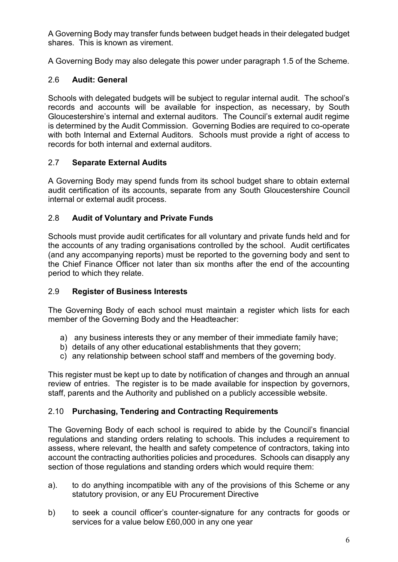A Governing Body may transfer funds between budget heads in their delegated budget shares. This is known as virement.

A Governing Body may also delegate this power under paragraph 1.5 of the Scheme.

## 2.6 **Audit: General**

Schools with delegated budgets will be subject to regular internal audit. The school's records and accounts will be available for inspection, as necessary, by South Gloucestershire's internal and external auditors. The Council's external audit regime is determined by the Audit Commission. Governing Bodies are required to co-operate with both Internal and External Auditors. Schools must provide a right of access to records for both internal and external auditors.

### 2.7 **Separate External Audits**

A Governing Body may spend funds from its school budget share to obtain external audit certification of its accounts, separate from any South Gloucestershire Council internal or external audit process.

## 2.8 **Audit of Voluntary and Private Funds**

Schools must provide audit certificates for all voluntary and private funds held and for the accounts of any trading organisations controlled by the school. Audit certificates (and any accompanying reports) must be reported to the governing body and sent to the Chief Finance Officer not later than six months after the end of the accounting period to which they relate.

### 2.9 **Register of Business Interests**

The Governing Body of each school must maintain a register which lists for each member of the Governing Body and the Headteacher:

- a) any business interests they or any member of their immediate family have;
- b) details of any other educational establishments that they govern;
- c) any relationship between school staff and members of the governing body.

This register must be kept up to date by notification of changes and through an annual review of entries. The register is to be made available for inspection by governors, staff, parents and the Authority and published on a publicly accessible website.

### 2.10 **Purchasing, Tendering and Contracting Requirements**

The Governing Body of each school is required to abide by the Council's financial regulations and standing orders relating to schools. This includes a requirement to assess, where relevant, the health and safety competence of contractors, taking into account the contracting authorities policies and procedures. Schools can disapply any section of those regulations and standing orders which would require them:

- a). to do anything incompatible with any of the provisions of this Scheme or any statutory provision, or any EU Procurement Directive
- b) to seek a council officer's counter-signature for any contracts for goods or services for a value below £60,000 in any one year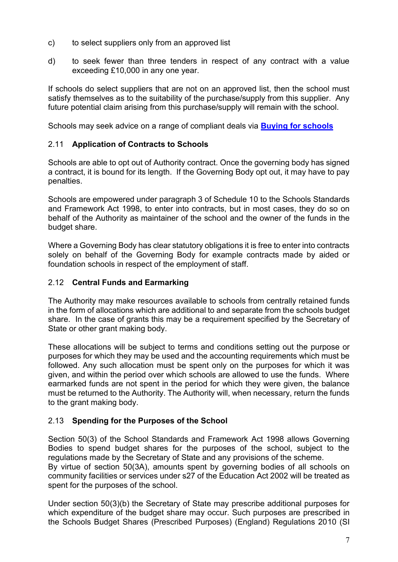- c) to select suppliers only from an approved list
- d) to seek fewer than three tenders in respect of any contract with a value exceeding £10,000 in any one year.

If schools do select suppliers that are not on an approved list, then the school must satisfy themselves as to the suitability of the purchase/supply from this supplier. Any future potential claim arising from this purchase/supply will remain with the school.

Schools may seek advice on a range of compliant deals via **[Buying for schools](https://www.gov.uk/guidance/buying-for-schools)**

### 2.11 **Application of Contracts to Schools**

Schools are able to opt out of Authority contract. Once the governing body has signed a contract, it is bound for its length. If the Governing Body opt out, it may have to pay penalties.

Schools are empowered under paragraph 3 of Schedule 10 to the Schools Standards and Framework Act 1998, to enter into contracts, but in most cases, they do so on behalf of the Authority as maintainer of the school and the owner of the funds in the budget share.

Where a Governing Body has clear statutory obligations it is free to enter into contracts solely on behalf of the Governing Body for example contracts made by aided or foundation schools in respect of the employment of staff.

### 2.12 **Central Funds and Earmarking**

The Authority may make resources available to schools from centrally retained funds in the form of allocations which are additional to and separate from the schools budget share. In the case of grants this may be a requirement specified by the Secretary of State or other grant making body.

These allocations will be subject to terms and conditions setting out the purpose or purposes for which they may be used and the accounting requirements which must be followed. Any such allocation must be spent only on the purposes for which it was given, and within the period over which schools are allowed to use the funds. Where earmarked funds are not spent in the period for which they were given, the balance must be returned to the Authority. The Authority will, when necessary, return the funds to the grant making body.

### 2.13 **Spending for the Purposes of the School**

Section 50(3) of the School Standards and Framework Act 1998 allows Governing Bodies to spend budget shares for the purposes of the school, subject to the regulations made by the Secretary of State and any provisions of the scheme.

By virtue of section 50(3A), amounts spent by governing bodies of all schools on community facilities or services under s27 of the Education Act 2002 will be treated as spent for the purposes of the school.

Under section 50(3)(b) the Secretary of State may prescribe additional purposes for which expenditure of the budget share may occur. Such purposes are prescribed in the Schools Budget Shares (Prescribed Purposes) (England) Regulations 2010 (SI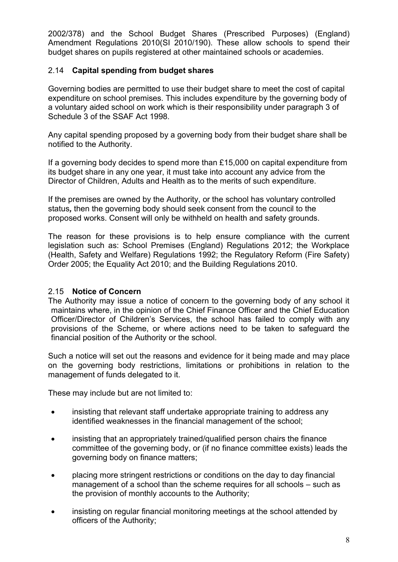2002/378) and the School Budget Shares (Prescribed Purposes) (England) Amendment Regulations 2010(SI 2010/190). These allow schools to spend their budget shares on pupils registered at other maintained schools or academies.

### 2.14 **Capital spending from budget shares**

Governing bodies are permitted to use their budget share to meet the cost of capital expenditure on school premises. This includes expenditure by the governing body of a voluntary aided school on work which is their responsibility under paragraph 3 of Schedule 3 of the SSAF Act 1998.

Any capital spending proposed by a governing body from their budget share shall be notified to the Authority.

If a governing body decides to spend more than £15,000 on capital expenditure from its budget share in any one year, it must take into account any advice from the Director of Children, Adults and Health as to the merits of such expenditure.

If the premises are owned by the Authority, or the school has voluntary controlled status*,* then the governing body should seek consent from the council to the proposed works. Consent will only be withheld on health and safety grounds.

The reason for these provisions is to help ensure compliance with the current legislation such as: School Premises (England) Regulations 2012; the Workplace (Health, Safety and Welfare) Regulations 1992; the Regulatory Reform (Fire Safety) Order 2005; the Equality Act 2010; and the Building Regulations 2010.

### 2.15 **Notice of Concern**

The Authority may issue a notice of concern to the governing body of any school it maintains where, in the opinion of the Chief Finance Officer and the Chief Education Officer/Director of Children's Services, the school has failed to comply with any provisions of the Scheme, or where actions need to be taken to safeguard the financial position of the Authority or the school.

Such a notice will set out the reasons and evidence for it being made and may place on the governing body restrictions, limitations or prohibitions in relation to the management of funds delegated to it.

These may include but are not limited to:

- insisting that relevant staff undertake appropriate training to address any identified weaknesses in the financial management of the school;
- insisting that an appropriately trained/qualified person chairs the finance committee of the governing body, or (if no finance committee exists) leads the governing body on finance matters;
- placing more stringent restrictions or conditions on the day to day financial management of a school than the scheme requires for all schools – such as the provision of monthly accounts to the Authority;
- insisting on regular financial monitoring meetings at the school attended by officers of the Authority;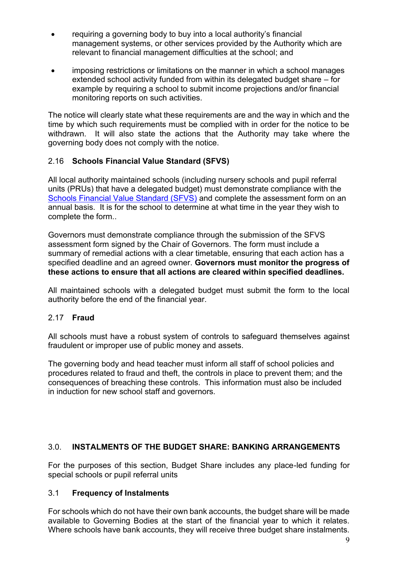- requiring a governing body to buy into a local authority's financial management systems, or other services provided by the Authority which are relevant to financial management difficulties at the school; and
- imposing restrictions or limitations on the manner in which a school manages extended school activity funded from within its delegated budget share – for example by requiring a school to submit income projections and/or financial monitoring reports on such activities.

The notice will clearly state what these requirements are and the way in which and the time by which such requirements must be complied with in order for the notice to be withdrawn. It will also state the actions that the Authority may take where the governing body does not comply with the notice.

## 2.16 **Schools Financial Value Standard (SFVS)**

All local authority maintained schools (including nursery schools and pupil referral units (PRUs) that have a delegated budget) must demonstrate compliance with the [Schools Financial Value Standard \(SFVS\)](https://www.gov.uk/government/publications/schools-financial-value-standard-sfvs) and complete the assessment form on an annual basis. It is for the school to determine at what time in the year they wish to complete the form..

Governors must demonstrate compliance through the submission of the SFVS assessment form signed by the Chair of Governors. The form must include a summary of remedial actions with a clear timetable, ensuring that each action has a specified deadline and an agreed owner. **Governors must monitor the progress of these actions to ensure that all actions are cleared within specified deadlines.** 

All maintained schools with a delegated budget must submit the form to the local authority before the end of the financial year.

### 2.17 **Fraud**

All schools must have a robust system of controls to safeguard themselves against fraudulent or improper use of public money and assets.

The governing body and head teacher must inform all staff of school policies and procedures related to fraud and theft, the controls in place to prevent them; and the consequences of breaching these controls. This information must also be included in induction for new school staff and governors.

### 3.0. **INSTALMENTS OF THE BUDGET SHARE: BANKING ARRANGEMENTS**

For the purposes of this section, Budget Share includes any place-led funding for special schools or pupil referral units

### 3.1 **Frequency of Instalments**

For schools which do not have their own bank accounts, the budget share will be made available to Governing Bodies at the start of the financial year to which it relates. Where schools have bank accounts, they will receive three budget share instalments.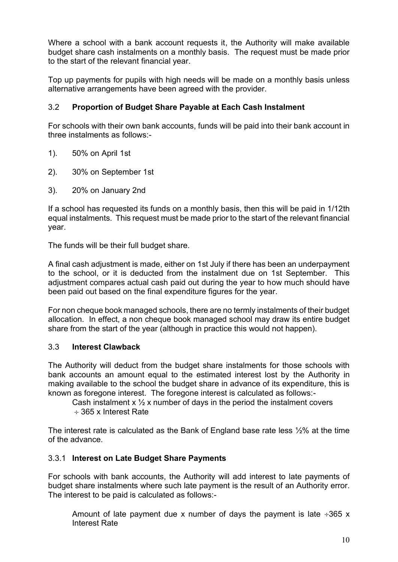Where a school with a bank account requests it, the Authority will make available budget share cash instalments on a monthly basis. The request must be made prior to the start of the relevant financial year.

Top up payments for pupils with high needs will be made on a monthly basis unless alternative arrangements have been agreed with the provider.

## 3.2 **Proportion of Budget Share Payable at Each Cash Instalment**

For schools with their own bank accounts, funds will be paid into their bank account in three instalments as follows:-

- 1). 50% on April 1st
- 2). 30% on September 1st
- 3). 20% on January 2nd

If a school has requested its funds on a monthly basis, then this will be paid in 1/12th equal instalments. This request must be made prior to the start of the relevant financial year.

The funds will be their full budget share.

A final cash adjustment is made, either on 1st July if there has been an underpayment to the school, or it is deducted from the instalment due on 1st September. This adjustment compares actual cash paid out during the year to how much should have been paid out based on the final expenditure figures for the year.

For non cheque book managed schools, there are no termly instalments of their budget allocation. In effect, a non cheque book managed school may draw its entire budget share from the start of the year (although in practice this would not happen).

### 3.3 **Interest Clawback**

The Authority will deduct from the budget share instalments for those schools with bank accounts an amount equal to the estimated interest lost by the Authority in making available to the school the budget share in advance of its expenditure, this is known as foregone interest. The foregone interest is calculated as follows:-

Cash instalment  $x \frac{1}{2}x$  number of days in the period the instalment covers

365 x Interest Rate

The interest rate is calculated as the Bank of England base rate less ½% at the time of the advance.

## 3.3.1 **Interest on Late Budget Share Payments**

For schools with bank accounts, the Authority will add interest to late payments of budget share instalments where such late payment is the result of an Authority error. The interest to be paid is calculated as follows:-

Amount of late payment due x number of days the payment is late  $\div 365$  x Interest Rate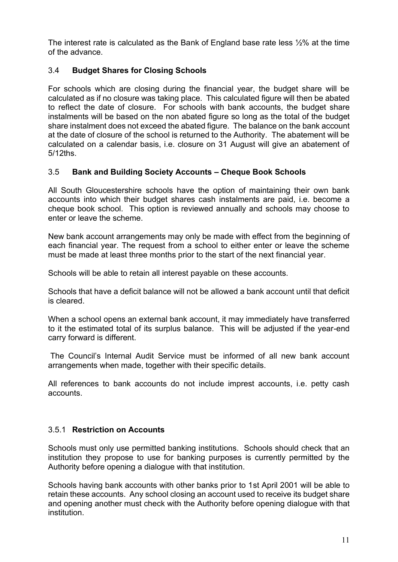The interest rate is calculated as the Bank of England base rate less ½% at the time of the advance.

## 3.4 **Budget Shares for Closing Schools**

For schools which are closing during the financial year, the budget share will be calculated as if no closure was taking place. This calculated figure will then be abated to reflect the date of closure. For schools with bank accounts, the budget share instalments will be based on the non abated figure so long as the total of the budget share instalment does not exceed the abated figure. The balance on the bank account at the date of closure of the school is returned to the Authority. The abatement will be calculated on a calendar basis, i.e. closure on 31 August will give an abatement of 5/12ths.

## 3.5 **Bank and Building Society Accounts – Cheque Book Schools**

All South Gloucestershire schools have the option of maintaining their own bank accounts into which their budget shares cash instalments are paid, i.e. become a cheque book school. This option is reviewed annually and schools may choose to enter or leave the scheme.

New bank account arrangements may only be made with effect from the beginning of each financial year. The request from a school to either enter or leave the scheme must be made at least three months prior to the start of the next financial year.

Schools will be able to retain all interest payable on these accounts.

Schools that have a deficit balance will not be allowed a bank account until that deficit is cleared.

When a school opens an external bank account, it may immediately have transferred to it the estimated total of its surplus balance. This will be adjusted if the year-end carry forward is different.

The Council's Internal Audit Service must be informed of all new bank account arrangements when made, together with their specific details.

All references to bank accounts do not include imprest accounts, i.e. petty cash accounts.

### 3.5.1 **Restriction on Accounts**

Schools must only use permitted banking institutions. Schools should check that an institution they propose to use for banking purposes is currently permitted by the Authority before opening a dialogue with that institution.

Schools having bank accounts with other banks prior to 1st April 2001 will be able to retain these accounts. Any school closing an account used to receive its budget share and opening another must check with the Authority before opening dialogue with that institution.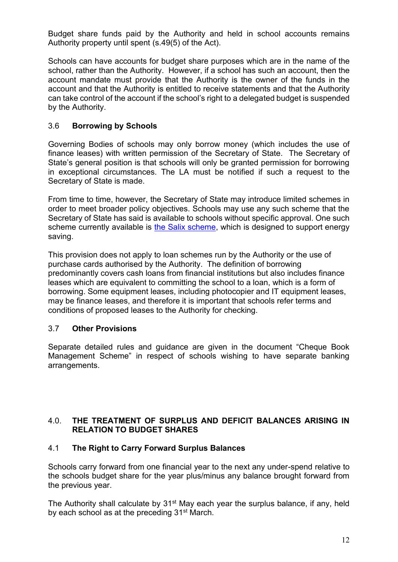Budget share funds paid by the Authority and held in school accounts remains Authority property until spent (s.49(5) of the Act).

Schools can have accounts for budget share purposes which are in the name of the school, rather than the Authority. However, if a school has such an account, then the account mandate must provide that the Authority is the owner of the funds in the account and that the Authority is entitled to receive statements and that the Authority can take control of the account if the school's right to a delegated budget is suspended by the Authority.

## 3.6 **Borrowing by Schools**

Governing Bodies of schools may only borrow money (which includes the use of finance leases) with written permission of the Secretary of State. The Secretary of State's general position is that schools will only be granted permission for borrowing in exceptional circumstances. The LA must be notified if such a request to the Secretary of State is made.

From time to time, however, the Secretary of State may introduce limited schemes in order to meet broader policy objectives. Schools may use any such scheme that the Secretary of State has said is available to schools without specific approval. One such scheme currently available is [the Salix scheme,](http://salixfinance.co.uk/loans/) which is designed to support energy saving.

This provision does not apply to loan schemes run by the Authority or the use of purchase cards authorised by the Authority. The definition of borrowing predominantly covers cash loans from financial institutions but also includes finance leases which are equivalent to committing the school to a loan, which is a form of borrowing. Some equipment leases, including photocopier and IT equipment leases, may be finance leases, and therefore it is important that schools refer terms and conditions of proposed leases to the Authority for checking.

### 3.7 **Other Provisions**

Separate detailed rules and guidance are given in the document "Cheque Book Management Scheme" in respect of schools wishing to have separate banking arrangements.

### 4.0. **THE TREATMENT OF SURPLUS AND DEFICIT BALANCES ARISING IN RELATION TO BUDGET SHARES**

### 4.1 **The Right to Carry Forward Surplus Balances**

Schools carry forward from one financial year to the next any under-spend relative to the schools budget share for the year plus/minus any balance brought forward from the previous year.

The Authority shall calculate by  $31<sup>st</sup>$  May each year the surplus balance, if any, held by each school as at the preceding 31<sup>st</sup> March.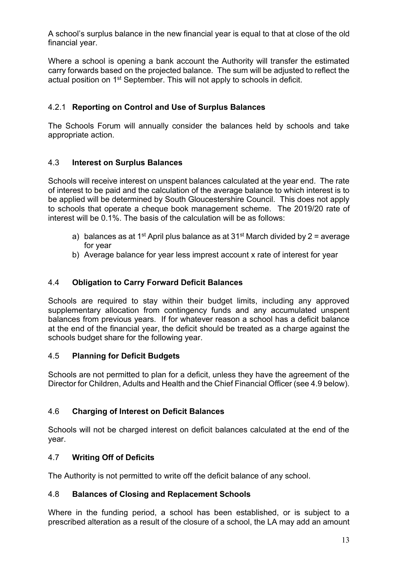A school's surplus balance in the new financial year is equal to that at close of the old financial year.

Where a school is opening a bank account the Authority will transfer the estimated carry forwards based on the projected balance. The sum will be adjusted to reflect the actual position on 1st September. This will not apply to schools in deficit.

## 4.2.1 **Reporting on Control and Use of Surplus Balances**

The Schools Forum will annually consider the balances held by schools and take appropriate action.

### 4.3 **Interest on Surplus Balances**

Schools will receive interest on unspent balances calculated at the year end. The rate of interest to be paid and the calculation of the average balance to which interest is to be applied will be determined by South Gloucestershire Council. This does not apply to schools that operate a cheque book management scheme. The 2019/20 rate of interest will be 0.1%. The basis of the calculation will be as follows:

- a) balances as at 1<sup>st</sup> April plus balance as at 31<sup>st</sup> March divided by 2 = average for year
- b) Average balance for year less imprest account x rate of interest for year

## 4.4 **Obligation to Carry Forward Deficit Balances**

Schools are required to stay within their budget limits, including any approved supplementary allocation from contingency funds and any accumulated unspent balances from previous years. If for whatever reason a school has a deficit balance at the end of the financial year, the deficit should be treated as a charge against the schools budget share for the following year.

### 4.5 **Planning for Deficit Budgets**

Schools are not permitted to plan for a deficit, unless they have the agreement of the Director for Children, Adults and Health and the Chief Financial Officer (see 4.9 below).

### 4.6 **Charging of Interest on Deficit Balances**

Schools will not be charged interest on deficit balances calculated at the end of the year.

### 4.7 **Writing Off of Deficits**

The Authority is not permitted to write off the deficit balance of any school.

### 4.8 **Balances of Closing and Replacement Schools**

Where in the funding period, a school has been established, or is subject to a prescribed alteration as a result of the closure of a school, the LA may add an amount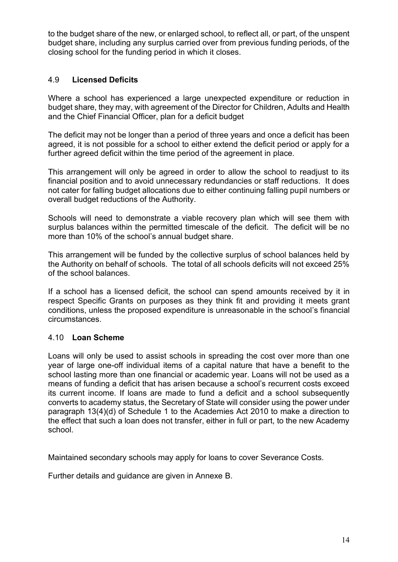to the budget share of the new, or enlarged school, to reflect all, or part, of the unspent budget share, including any surplus carried over from previous funding periods, of the closing school for the funding period in which it closes.

### 4.9 **Licensed Deficits**

Where a school has experienced a large unexpected expenditure or reduction in budget share, they may, with agreement of the Director for Children, Adults and Health and the Chief Financial Officer, plan for a deficit budget

The deficit may not be longer than a period of three years and once a deficit has been agreed, it is not possible for a school to either extend the deficit period or apply for a further agreed deficit within the time period of the agreement in place.

This arrangement will only be agreed in order to allow the school to readjust to its financial position and to avoid unnecessary redundancies or staff reductions. It does not cater for falling budget allocations due to either continuing falling pupil numbers or overall budget reductions of the Authority.

Schools will need to demonstrate a viable recovery plan which will see them with surplus balances within the permitted timescale of the deficit. The deficit will be no more than 10% of the school's annual budget share.

This arrangement will be funded by the collective surplus of school balances held by the Authority on behalf of schools. The total of all schools deficits will not exceed 25% of the school balances.

If a school has a licensed deficit, the school can spend amounts received by it in respect Specific Grants on purposes as they think fit and providing it meets grant conditions, unless the proposed expenditure is unreasonable in the school's financial circumstances.

#### 4.10 **Loan Scheme**

Loans will only be used to assist schools in spreading the cost over more than one year of large one-off individual items of a capital nature that have a benefit to the school lasting more than one financial or academic year. Loans will not be used as a means of funding a deficit that has arisen because a school's recurrent costs exceed its current income. If loans are made to fund a deficit and a school subsequently converts to academy status, the Secretary of State will consider using the power under paragraph 13(4)(d) of Schedule 1 to the Academies Act 2010 to make a direction to the effect that such a loan does not transfer, either in full or part, to the new Academy school.

Maintained secondary schools may apply for loans to cover Severance Costs.

Further details and guidance are given in Annexe B.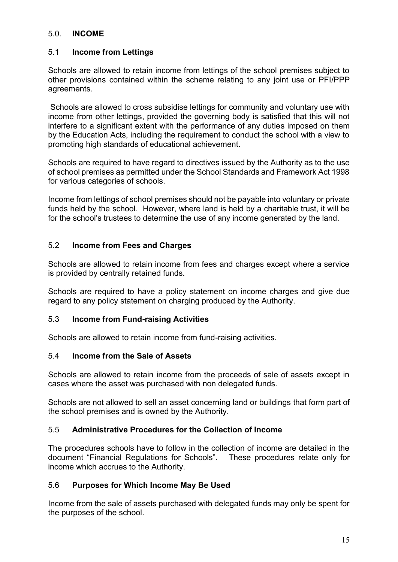#### 5.0. **INCOME**

#### 5.1 **Income from Lettings**

Schools are allowed to retain income from lettings of the school premises subject to other provisions contained within the scheme relating to any joint use or PFI/PPP agreements.

Schools are allowed to cross subsidise lettings for community and voluntary use with income from other lettings, provided the governing body is satisfied that this will not interfere to a significant extent with the performance of any duties imposed on them by the Education Acts, including the requirement to conduct the school with a view to promoting high standards of educational achievement.

Schools are required to have regard to directives issued by the Authority as to the use of school premises as permitted under the School Standards and Framework Act 1998 for various categories of schools.

Income from lettings of school premises should not be payable into voluntary or private funds held by the school. However, where land is held by a charitable trust, it will be for the school's trustees to determine the use of any income generated by the land.

#### 5.2 **Income from Fees and Charges**

Schools are allowed to retain income from fees and charges except where a service is provided by centrally retained funds.

Schools are required to have a policy statement on income charges and give due regard to any policy statement on charging produced by the Authority.

#### 5.3 **Income from Fund-raising Activities**

Schools are allowed to retain income from fund-raising activities.

#### 5.4 **Income from the Sale of Assets**

Schools are allowed to retain income from the proceeds of sale of assets except in cases where the asset was purchased with non delegated funds.

Schools are not allowed to sell an asset concerning land or buildings that form part of the school premises and is owned by the Authority.

#### 5.5 **Administrative Procedures for the Collection of Income**

The procedures schools have to follow in the collection of income are detailed in the document "Financial Regulations for Schools". These procedures relate only for income which accrues to the Authority.

### 5.6 **Purposes for Which Income May Be Used**

Income from the sale of assets purchased with delegated funds may only be spent for the purposes of the school.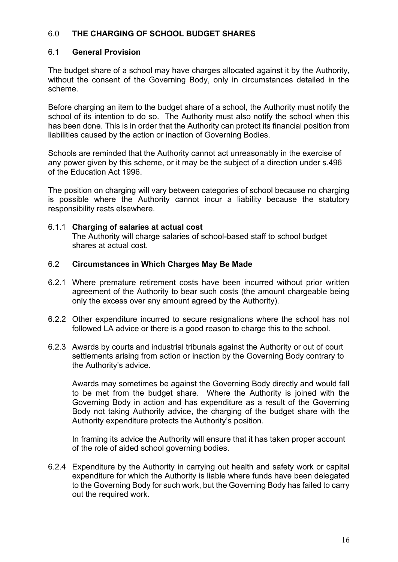## 6.0 **THE CHARGING OF SCHOOL BUDGET SHARES**

#### 6.1 **General Provision**

The budget share of a school may have charges allocated against it by the Authority, without the consent of the Governing Body, only in circumstances detailed in the scheme.

Before charging an item to the budget share of a school, the Authority must notify the school of its intention to do so. The Authority must also notify the school when this has been done. This is in order that the Authority can protect its financial position from liabilities caused by the action or inaction of Governing Bodies.

Schools are reminded that the Authority cannot act unreasonably in the exercise of any power given by this scheme, or it may be the subject of a direction under s.496 of the Education Act 1996.

The position on charging will vary between categories of school because no charging is possible where the Authority cannot incur a liability because the statutory responsibility rests elsewhere.

#### 6.1.1 **Charging of salaries at actual cost**

The Authority will charge salaries of school-based staff to school budget shares at actual cost.

#### 6.2 **Circumstances in Which Charges May Be Made**

- 6.2.1 Where premature retirement costs have been incurred without prior written agreement of the Authority to bear such costs (the amount chargeable being only the excess over any amount agreed by the Authority).
- 6.2.2 Other expenditure incurred to secure resignations where the school has not followed LA advice or there is a good reason to charge this to the school.
- 6.2.3 Awards by courts and industrial tribunals against the Authority or out of court settlements arising from action or inaction by the Governing Body contrary to the Authority's advice.

Awards may sometimes be against the Governing Body directly and would fall to be met from the budget share. Where the Authority is joined with the Governing Body in action and has expenditure as a result of the Governing Body not taking Authority advice, the charging of the budget share with the Authority expenditure protects the Authority's position.

In framing its advice the Authority will ensure that it has taken proper account of the role of aided school governing bodies.

6.2.4 Expenditure by the Authority in carrying out health and safety work or capital expenditure for which the Authority is liable where funds have been delegated to the Governing Body for such work, but the Governing Body has failed to carry out the required work.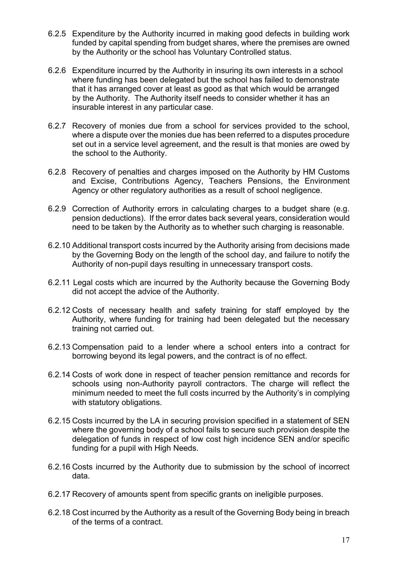- 6.2.5 Expenditure by the Authority incurred in making good defects in building work funded by capital spending from budget shares, where the premises are owned by the Authority or the school has Voluntary Controlled status.
- 6.2.6 Expenditure incurred by the Authority in insuring its own interests in a school where funding has been delegated but the school has failed to demonstrate that it has arranged cover at least as good as that which would be arranged by the Authority. The Authority itself needs to consider whether it has an insurable interest in any particular case.
- 6.2.7 Recovery of monies due from a school for services provided to the school, where a dispute over the monies due has been referred to a disputes procedure set out in a service level agreement, and the result is that monies are owed by the school to the Authority.
- 6.2.8 Recovery of penalties and charges imposed on the Authority by HM Customs and Excise, Contributions Agency, Teachers Pensions, the Environment Agency or other regulatory authorities as a result of school negligence.
- 6.2.9 Correction of Authority errors in calculating charges to a budget share (e.g. pension deductions). If the error dates back several years, consideration would need to be taken by the Authority as to whether such charging is reasonable.
- 6.2.10 Additional transport costs incurred by the Authority arising from decisions made by the Governing Body on the length of the school day, and failure to notify the Authority of non-pupil days resulting in unnecessary transport costs.
- 6.2.11 Legal costs which are incurred by the Authority because the Governing Body did not accept the advice of the Authority.
- 6.2.12 Costs of necessary health and safety training for staff employed by the Authority, where funding for training had been delegated but the necessary training not carried out.
- 6.2.13 Compensation paid to a lender where a school enters into a contract for borrowing beyond its legal powers, and the contract is of no effect.
- 6.2.14 Costs of work done in respect of teacher pension remittance and records for schools using non-Authority payroll contractors. The charge will reflect the minimum needed to meet the full costs incurred by the Authority's in complying with statutory obligations.
- 6.2.15 Costs incurred by the LA in securing provision specified in a statement of SEN where the governing body of a school fails to secure such provision despite the delegation of funds in respect of low cost high incidence SEN and/or specific funding for a pupil with High Needs.
- 6.2.16 Costs incurred by the Authority due to submission by the school of incorrect data.
- 6.2.17 Recovery of amounts spent from specific grants on ineligible purposes.
- 6.2.18 Cost incurred by the Authority as a result of the Governing Body being in breach of the terms of a contract.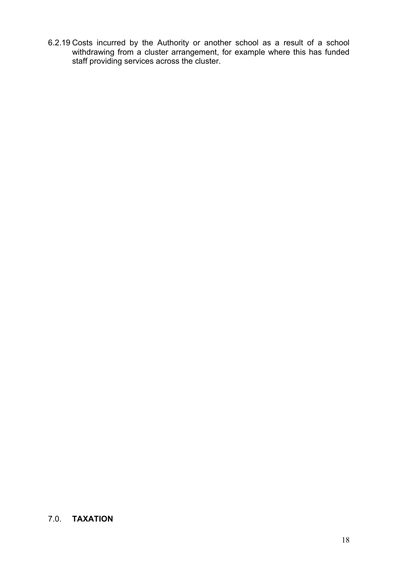6.2.19 Costs incurred by the Authority or another school as a result of a school withdrawing from a cluster arrangement, for example where this has funded staff providing services across the cluster.

## 7.0. **TAXATION**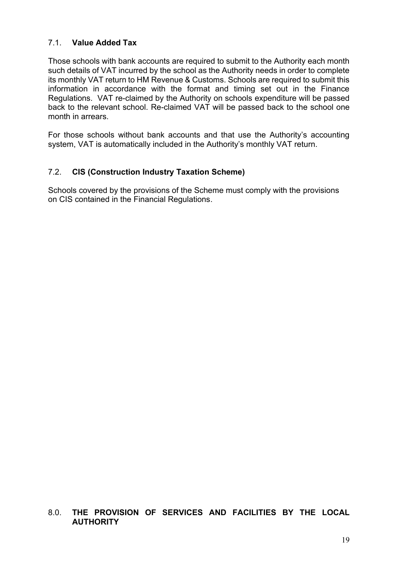## 7.1. **Value Added Tax**

Those schools with bank accounts are required to submit to the Authority each month such details of VAT incurred by the school as the Authority needs in order to complete its monthly VAT return to HM Revenue & Customs. Schools are required to submit this information in accordance with the format and timing set out in the Finance Regulations. VAT re-claimed by the Authority on schools expenditure will be passed back to the relevant school. Re-claimed VAT will be passed back to the school one month in arrears.

For those schools without bank accounts and that use the Authority's accounting system, VAT is automatically included in the Authority's monthly VAT return.

## 7.2. **CIS (Construction Industry Taxation Scheme)**

Schools covered by the provisions of the Scheme must comply with the provisions on CIS contained in the Financial Regulations.

### 8.0. **THE PROVISION OF SERVICES AND FACILITIES BY THE LOCAL AUTHORITY**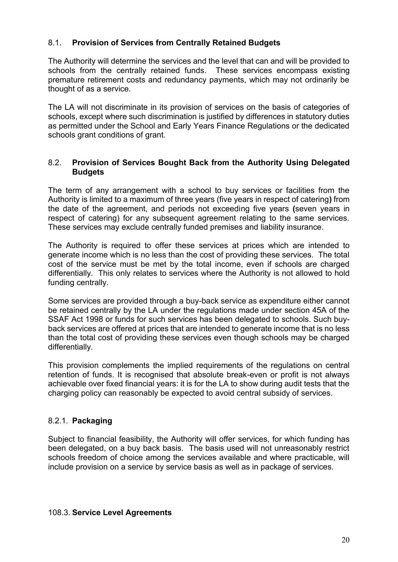## 8.1. **Provision of Services from Centrally Retained Budgets**

The Authority will determine the services and the level that can and will be provided to schools from the centrally retained funds. These services encompass existing premature retirement costs and redundancy payments, which may not ordinarily be thought of as a service.

The LA will not discriminate in its provision of services on the basis of categories of schools, except where such discrimination is justified by differences in statutory duties as permitted under the School and Early Years Finance Regulations or the dedicated schools grant conditions of grant.

#### 8.2. **Provision of Services Bought Back from the Authority Using Delegated Budgets**

The term of any arrangement with a school to buy services or facilities from the Authority is limited to a maximum of three years (five years in respect of catering**)** from the date of the agreement, and periods not exceeding five years **(**seven years in respect of catering) for any subsequent agreement relating to the same services. These services may exclude centrally funded premises and liability insurance.

The Authority is required to offer these services at prices which are intended to generate income which is no less than the cost of providing these services. The total cost of the service must be met by the total income, even if schools are charged differentially. This only relates to services where the Authority is not allowed to hold funding centrally.

Some services are provided through a buy-back service as expenditure either cannot be retained centrally by the LA under the regulations made under section 45A of the SSAF Act 1998 or funds for such services has been delegated to schools. Such buyback services are offered at prices that are intended to generate income that is no less than the total cost of providing these services even though schools may be charged differentially.

This provision complements the implied requirements of the regulations on central retention of funds. It is recognised that absolute break-even or profit is not always achievable over fixed financial years: it is for the LA to show during audit tests that the charging policy can reasonably be expected to avoid central subsidy of services.

### 8.2.1. **Packaging**

Subject to financial feasibility, the Authority will offer services, for which funding has been delegated, on a buy back basis. The basis used will not unreasonably restrict schools freedom of choice among the services available and where practicable, will include provision on a service by service basis as well as in package of services.

#### 108.3. **Service Level Agreements**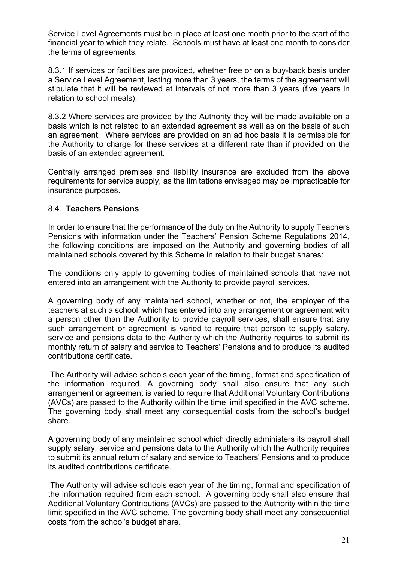Service Level Agreements must be in place at least one month prior to the start of the financial year to which they relate. Schools must have at least one month to consider the terms of agreements.

8.3.1 If services or facilities are provided, whether free or on a buy-back basis under a Service Level Agreement, lasting more than 3 years, the terms of the agreement will stipulate that it will be reviewed at intervals of not more than 3 years (five years in relation to school meals).

8.3.2 Where services are provided by the Authority they will be made available on a basis which is not related to an extended agreement as well as on the basis of such an agreement. Where services are provided on an ad hoc basis it is permissible for the Authority to charge for these services at a different rate than if provided on the basis of an extended agreement.

Centrally arranged premises and liability insurance are excluded from the above requirements for service supply, as the limitations envisaged may be impracticable for insurance purposes.

### 8.4. **Teachers Pensions**

In order to ensure that the performance of the duty on the Authority to supply Teachers Pensions with information under the Teachers' Pension Scheme Regulations 2014, the following conditions are imposed on the Authority and governing bodies of all maintained schools covered by this Scheme in relation to their budget shares:

The conditions only apply to governing bodies of maintained schools that have not entered into an arrangement with the Authority to provide payroll services.

A governing body of any maintained school, whether or not, the employer of the teachers at such a school, which has entered into any arrangement or agreement with a person other than the Authority to provide payroll services, shall ensure that any such arrangement or agreement is varied to require that person to supply salary, service and pensions data to the Authority which the Authority requires to submit its monthly return of salary and service to Teachers' Pensions and to produce its audited contributions certificate.

The Authority will advise schools each year of the timing, format and specification of the information required. A governing body shall also ensure that any such arrangement or agreement is varied to require that Additional Voluntary Contributions (AVCs) are passed to the Authority within the time limit specified in the AVC scheme. The governing body shall meet any consequential costs from the school's budget share.

A governing body of any maintained school which directly administers its payroll shall supply salary, service and pensions data to the Authority which the Authority requires to submit its annual return of salary and service to Teachers' Pensions and to produce its audited contributions certificate.

The Authority will advise schools each year of the timing, format and specification of the information required from each school. A governing body shall also ensure that Additional Voluntary Contributions (AVCs) are passed to the Authority within the time limit specified in the AVC scheme. The governing body shall meet any consequential costs from the school's budget share.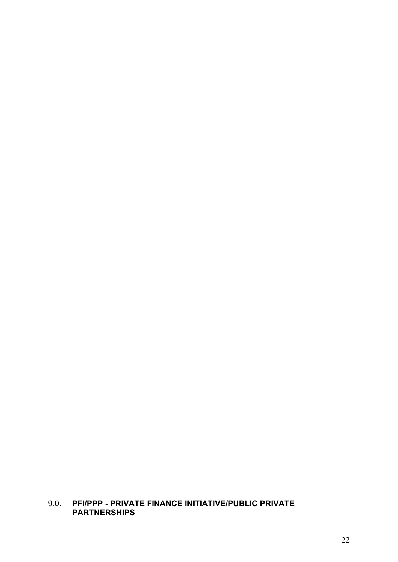## 9.0. **PFI/PPP - PRIVATE FINANCE INITIATIVE/PUBLIC PRIVATE PARTNERSHIPS**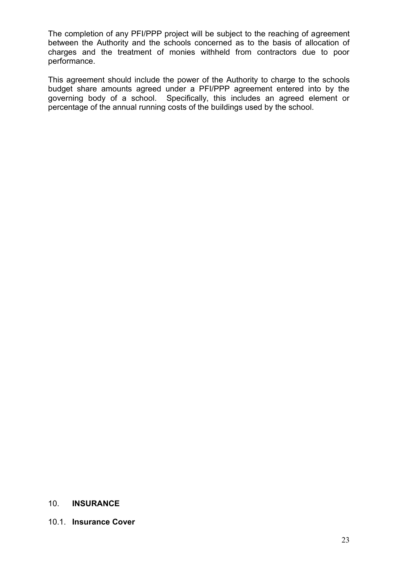The completion of any PFI/PPP project will be subject to the reaching of agreement between the Authority and the schools concerned as to the basis of allocation of charges and the treatment of monies withheld from contractors due to poor performance.

This agreement should include the power of the Authority to charge to the schools budget share amounts agreed under a PFI/PPP agreement entered into by the governing body of a school. Specifically, this includes an agreed element or percentage of the annual running costs of the buildings used by the school.

#### 10. **INSURANCE**

#### 10.1. **Insurance Cover**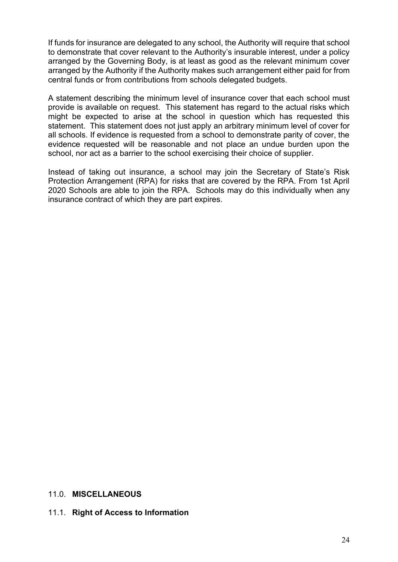If funds for insurance are delegated to any school, the Authority will require that school to demonstrate that cover relevant to the Authority's insurable interest, under a policy arranged by the Governing Body, is at least as good as the relevant minimum cover arranged by the Authority if the Authority makes such arrangement either paid for from central funds or from contributions from schools delegated budgets.

A statement describing the minimum level of insurance cover that each school must provide is available on request. This statement has regard to the actual risks which might be expected to arise at the school in question which has requested this statement. This statement does not just apply an arbitrary minimum level of cover for all schools. If evidence is requested from a school to demonstrate parity of cover, the evidence requested will be reasonable and not place an undue burden upon the school, nor act as a barrier to the school exercising their choice of supplier.

Instead of taking out insurance, a school may join the Secretary of State's Risk Protection Arrangement (RPA) for risks that are covered by the RPA. From 1st April 2020 Schools are able to join the RPA. Schools may do this individually when any insurance contract of which they are part expires.

#### 11.0. **MISCELLANEOUS**

#### 11.1. **Right of Access to Information**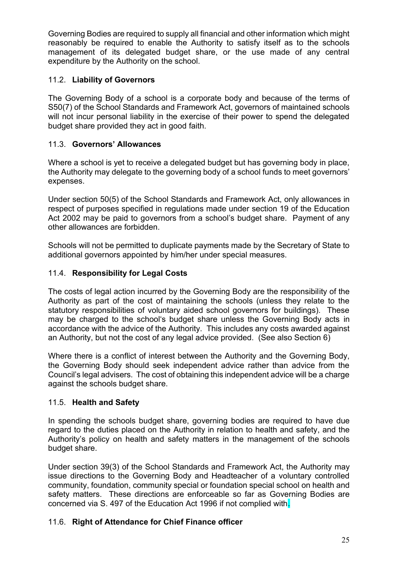Governing Bodies are required to supply all financial and other information which might reasonably be required to enable the Authority to satisfy itself as to the schools management of its delegated budget share, or the use made of any central expenditure by the Authority on the school.

## 11.2. **Liability of Governors**

The Governing Body of a school is a corporate body and because of the terms of S50(7) of the School Standards and Framework Act, governors of maintained schools will not incur personal liability in the exercise of their power to spend the delegated budget share provided they act in good faith.

## 11.3. **Governors' Allowances**

Where a school is yet to receive a delegated budget but has governing body in place, the Authority may delegate to the governing body of a school funds to meet governors' expenses.

Under section 50(5) of the School Standards and Framework Act, only allowances in respect of purposes specified in regulations made under section 19 of the Education Act 2002 may be paid to governors from a school's budget share. Payment of any other allowances are forbidden.

Schools will not be permitted to duplicate payments made by the Secretary of State to additional governors appointed by him/her under special measures.

## 11.4. **Responsibility for Legal Costs**

The costs of legal action incurred by the Governing Body are the responsibility of the Authority as part of the cost of maintaining the schools (unless they relate to the statutory responsibilities of voluntary aided school governors for buildings). These may be charged to the school's budget share unless the Governing Body acts in accordance with the advice of the Authority. This includes any costs awarded against an Authority, but not the cost of any legal advice provided. (See also Section 6)

Where there is a conflict of interest between the Authority and the Governing Body, the Governing Body should seek independent advice rather than advice from the Council's legal advisers. The cost of obtaining this independent advice will be a charge against the schools budget share.

### 11.5. **Health and Safety**

In spending the schools budget share, governing bodies are required to have due regard to the duties placed on the Authority in relation to health and safety, and the Authority's policy on health and safety matters in the management of the schools budget share.

Under section 39(3) of the School Standards and Framework Act, the Authority may issue directions to the Governing Body and Headteacher of a voluntary controlled community, foundation, community special or foundation special school on health and safety matters. These directions are enforceable so far as Governing Bodies are concerned via S. 497 of the Education Act 1996 if not complied with.

## 11.6. **Right of Attendance for Chief Finance officer**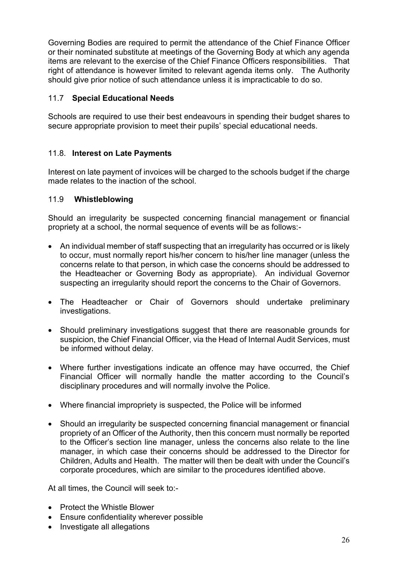Governing Bodies are required to permit the attendance of the Chief Finance Officer or their nominated substitute at meetings of the Governing Body at which any agenda items are relevant to the exercise of the Chief Finance Officers responsibilities. That right of attendance is however limited to relevant agenda items only. The Authority should give prior notice of such attendance unless it is impracticable to do so.

## 11.7 **Special Educational Needs**

Schools are required to use their best endeavours in spending their budget shares to secure appropriate provision to meet their pupils' special educational needs.

## 11.8. **Interest on Late Payments**

Interest on late payment of invoices will be charged to the schools budget if the charge made relates to the inaction of the school.

### 11.9 **Whistleblowing**

Should an irregularity be suspected concerning financial management or financial propriety at a school, the normal sequence of events will be as follows:-

- An individual member of staff suspecting that an irregularity has occurred or is likely to occur, must normally report his/her concern to his/her line manager (unless the concerns relate to that person, in which case the concerns should be addressed to the Headteacher or Governing Body as appropriate). An individual Governor suspecting an irregularity should report the concerns to the Chair of Governors.
- The Headteacher or Chair of Governors should undertake preliminary investigations.
- Should preliminary investigations suggest that there are reasonable grounds for suspicion, the Chief Financial Officer, via the Head of Internal Audit Services, must be informed without delay.
- Where further investigations indicate an offence may have occurred, the Chief Financial Officer will normally handle the matter according to the Council's disciplinary procedures and will normally involve the Police.
- Where financial impropriety is suspected, the Police will be informed
- Should an irregularity be suspected concerning financial management or financial propriety of an Officer of the Authority, then this concern must normally be reported to the Officer's section line manager, unless the concerns also relate to the line manager, in which case their concerns should be addressed to the Director for Children, Adults and Health. The matter will then be dealt with under the Council's corporate procedures, which are similar to the procedures identified above.

At all times, the Council will seek to:-

- Protect the Whistle Blower
- Ensure confidentiality wherever possible
- Investigate all allegations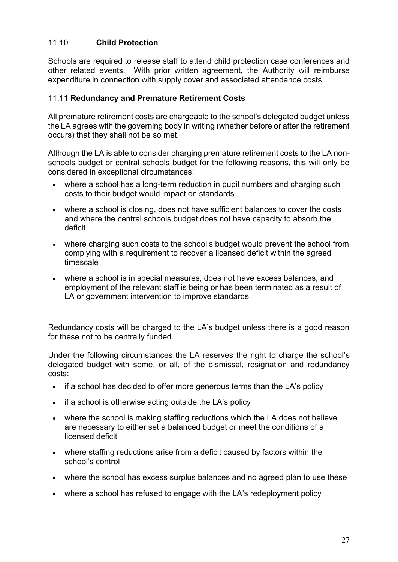## 11.10 **Child Protection**

Schools are required to release staff to attend child protection case conferences and other related events. With prior written agreement, the Authority will reimburse expenditure in connection with supply cover and associated attendance costs.

#### 11.11 **Redundancy and Premature Retirement Costs**

All premature retirement costs are chargeable to the school's delegated budget unless the LA agrees with the governing body in writing (whether before or after the retirement occurs) that they shall not be so met.

Although the LA is able to consider charging premature retirement costs to the LA nonschools budget or central schools budget for the following reasons, this will only be considered in exceptional circumstances:

- where a school has a long-term reduction in pupil numbers and charging such costs to their budget would impact on standards
- where a school is closing, does not have sufficient balances to cover the costs and where the central schools budget does not have capacity to absorb the deficit
- where charging such costs to the school's budget would prevent the school from complying with a requirement to recover a licensed deficit within the agreed timescale
- where a school is in special measures, does not have excess balances, and employment of the relevant staff is being or has been terminated as a result of LA or government intervention to improve standards

Redundancy costs will be charged to the LA's budget unless there is a good reason for these not to be centrally funded.

Under the following circumstances the LA reserves the right to charge the school's delegated budget with some, or all, of the dismissal, resignation and redundancy costs:

- if a school has decided to offer more generous terms than the LA's policy
- if a school is otherwise acting outside the LA's policy
- where the school is making staffing reductions which the LA does not believe are necessary to either set a balanced budget or meet the conditions of a licensed deficit
- where staffing reductions arise from a deficit caused by factors within the school's control
- where the school has excess surplus balances and no agreed plan to use these
- where a school has refused to engage with the LA's redeployment policy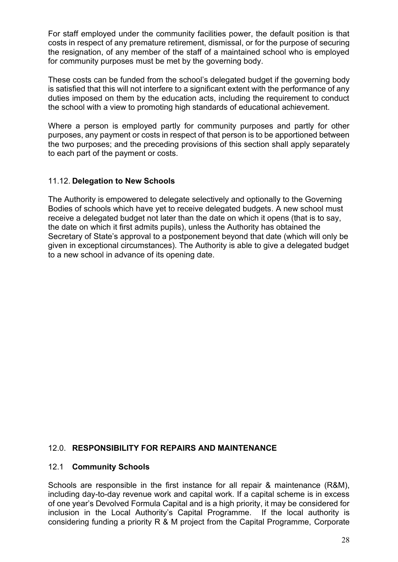For staff employed under the community facilities power, the default position is that costs in respect of any premature retirement, dismissal, or for the purpose of securing the resignation, of any member of the staff of a maintained school who is employed for community purposes must be met by the governing body.

These costs can be funded from the school's delegated budget if the governing body is satisfied that this will not interfere to a significant extent with the performance of any duties imposed on them by the education acts, including the requirement to conduct the school with a view to promoting high standards of educational achievement.

Where a person is employed partly for community purposes and partly for other purposes, any payment or costs in respect of that person is to be apportioned between the two purposes; and the preceding provisions of this section shall apply separately to each part of the payment or costs.

### 11.12. **Delegation to New Schools**

The Authority is empowered to delegate selectively and optionally to the Governing Bodies of schools which have yet to receive delegated budgets. A new school must receive a delegated budget not later than the date on which it opens (that is to say, the date on which it first admits pupils), unless the Authority has obtained the Secretary of State's approval to a postponement beyond that date (which will only be given in exceptional circumstances). The Authority is able to give a delegated budget to a new school in advance of its opening date.

#### 12.0. **RESPONSIBILITY FOR REPAIRS AND MAINTENANCE**

#### 12.1 **Community Schools**

Schools are responsible in the first instance for all repair & maintenance (R&M), including day-to-day revenue work and capital work. If a capital scheme is in excess of one year's Devolved Formula Capital and is a high priority, it may be considered for inclusion in the Local Authority's Capital Programme. If the local authority is considering funding a priority R & M project from the Capital Programme, Corporate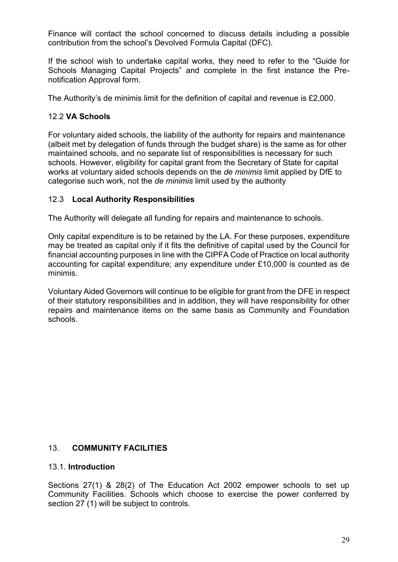Finance will contact the school concerned to discuss details including a possible contribution from the school's Devolved Formula Capital (DFC).

If the school wish to undertake capital works, they need to refer to the "Guide for Schools Managing Capital Projects" and complete in the first instance the Prenotification Approval form.

The Authority's de minimis limit for the definition of capital and revenue is £2,000.

#### 12.2 **VA Schools**

For voluntary aided schools, the liability of the authority for repairs and maintenance (albeit met by delegation of funds through the budget share) is the same as for other maintained schools, and no separate list of responsibilities is necessary for such schools. However, eligibility for capital grant from the Secretary of State for capital works at voluntary aided schools depends on the *de minimis* limit applied by DfE to categorise such work, not the *de minimis* limit used by the authority

#### 12.3 **Local Authority Responsibilities**

The Authority will delegate all funding for repairs and maintenance to schools.

Only capital expenditure is to be retained by the LA. For these purposes, expenditure may be treated as capital only if it fits the definitive of capital used by the Council for financial accounting purposes in line with the CIPFA Code of Practice on local authority accounting for capital expenditure; any expenditure under £10,000 is counted as de minimis.

Voluntary Aided Governors will continue to be eligible for grant from the DFE in respect of their statutory responsibilities and in addition, they will have responsibility for other repairs and maintenance items on the same basis as Community and Foundation schools.

#### 13. **COMMUNITY FACILITIES**

#### 13.1. **Introduction**

Sections 27(1) & 28(2) of The Education Act 2002 empower schools to set up Community Facilities. Schools which choose to exercise the power conferred by section 27 (1) will be subject to controls.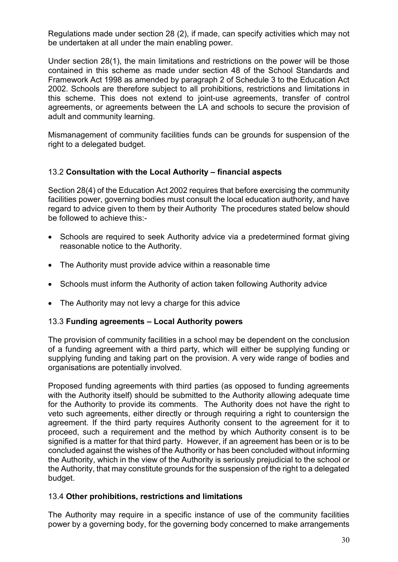Regulations made under section 28 (2), if made, can specify activities which may not be undertaken at all under the main enabling power.

Under section 28(1), the main limitations and restrictions on the power will be those contained in this scheme as made under section 48 of the School Standards and Framework Act 1998 as amended by paragraph 2 of Schedule 3 to the Education Act 2002. Schools are therefore subject to all prohibitions, restrictions and limitations in this scheme. This does not extend to joint-use agreements, transfer of control agreements, or agreements between the LA and schools to secure the provision of adult and community learning.

Mismanagement of community facilities funds can be grounds for suspension of the right to a delegated budget.

## 13.2 **Consultation with the Local Authority – financial aspects**

Section 28(4) of the Education Act 2002 requires that before exercising the community facilities power, governing bodies must consult the local education authority, and have regard to advice given to them by their Authority The procedures stated below should be followed to achieve this:-

- Schools are required to seek Authority advice via a predetermined format giving reasonable notice to the Authority.
- The Authority must provide advice within a reasonable time
- Schools must inform the Authority of action taken following Authority advice
- The Authority may not levy a charge for this advice

#### 13.3 **Funding agreements – Local Authority powers**

The provision of community facilities in a school may be dependent on the conclusion of a funding agreement with a third party, which will either be supplying funding or supplying funding and taking part on the provision. A very wide range of bodies and organisations are potentially involved.

Proposed funding agreements with third parties (as opposed to funding agreements with the Authority itself) should be submitted to the Authority allowing adequate time for the Authority to provide its comments. The Authority does not have the right to veto such agreements, either directly or through requiring a right to countersign the agreement. If the third party requires Authority consent to the agreement for it to proceed, such a requirement and the method by which Authority consent is to be signified is a matter for that third party. However, if an agreement has been or is to be concluded against the wishes of the Authority or has been concluded without informing the Authority, which in the view of the Authority is seriously prejudicial to the school or the Authority, that may constitute grounds for the suspension of the right to a delegated budget.

### 13.4 **Other prohibitions, restrictions and limitations**

The Authority may require in a specific instance of use of the community facilities power by a governing body, for the governing body concerned to make arrangements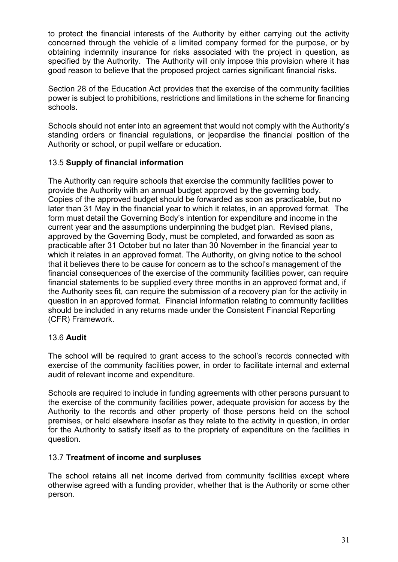to protect the financial interests of the Authority by either carrying out the activity concerned through the vehicle of a limited company formed for the purpose, or by obtaining indemnity insurance for risks associated with the project in question, as specified by the Authority. The Authority will only impose this provision where it has good reason to believe that the proposed project carries significant financial risks.

Section 28 of the Education Act provides that the exercise of the community facilities power is subject to prohibitions, restrictions and limitations in the scheme for financing schools.

Schools should not enter into an agreement that would not comply with the Authority's standing orders or financial regulations, or jeopardise the financial position of the Authority or school, or pupil welfare or education.

## 13.5 **Supply of financial information**

The Authority can require schools that exercise the community facilities power to provide the Authority with an annual budget approved by the governing body. Copies of the approved budget should be forwarded as soon as practicable, but no later than 31 May in the financial year to which it relates, in an approved format. The form must detail the Governing Body's intention for expenditure and income in the current year and the assumptions underpinning the budget plan. Revised plans, approved by the Governing Body, must be completed, and forwarded as soon as practicable after 31 October but no later than 30 November in the financial year to which it relates in an approved format. The Authority, on giving notice to the school that it believes there to be cause for concern as to the school's management of the financial consequences of the exercise of the community facilities power, can require financial statements to be supplied every three months in an approved format and, if the Authority sees fit, can require the submission of a recovery plan for the activity in question in an approved format. Financial information relating to community facilities should be included in any returns made under the Consistent Financial Reporting (CFR) Framework.

### 13.6 **Audit**

The school will be required to grant access to the school's records connected with exercise of the community facilities power, in order to facilitate internal and external audit of relevant income and expenditure.

Schools are required to include in funding agreements with other persons pursuant to the exercise of the community facilities power, adequate provision for access by the Authority to the records and other property of those persons held on the school premises, or held elsewhere insofar as they relate to the activity in question, in order for the Authority to satisfy itself as to the propriety of expenditure on the facilities in question.

### 13.7 **Treatment of income and surpluses**

The school retains all net income derived from community facilities except where otherwise agreed with a funding provider, whether that is the Authority or some other person.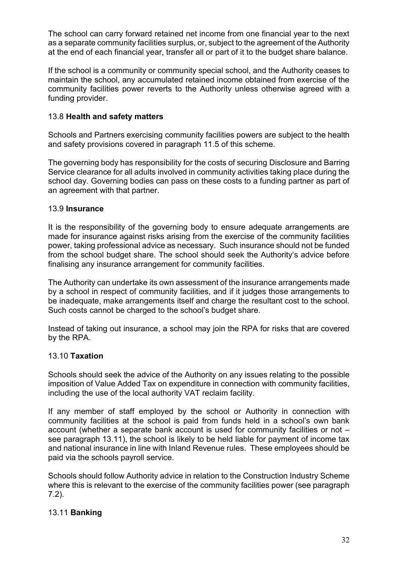The school can carry forward retained net income from one financial year to the next as a separate community facilities surplus, or, subject to the agreement of the Authority at the end of each financial year, transfer all or part of it to the budget share balance.

If the school is a community or community special school, and the Authority ceases to maintain the school, any accumulated retained income obtained from exercise of the community facilities power reverts to the Authority unless otherwise agreed with a funding provider.

#### 13.8 **Health and safety matters**

Schools and Partners exercising community facilities powers are subject to the health and safety provisions covered in paragraph 11.5 of this scheme.

The governing body has responsibility for the costs of securing Disclosure and Barring Service clearance for all adults involved in community activities taking place during the school day. Governing bodies can pass on these costs to a funding partner as part of an agreement with that partner.

#### 13.9 **Insurance**

It is the responsibility of the governing body to ensure adequate arrangements are made for insurance against risks arising from the exercise of the community facilities power, taking professional advice as necessary. Such insurance should not be funded from the school budget share. The school should seek the Authority's advice before finalising any insurance arrangement for community facilities.

The Authority can undertake its own assessment of the insurance arrangements made by a school in respect of community facilities, and if it judges those arrangements to be inadequate, make arrangements itself and charge the resultant cost to the school. Such costs cannot be charged to the school's budget share.

Instead of taking out insurance, a school may join the RPA for risks that are covered by the RPA.

#### 13.10 **Taxation**

Schools should seek the advice of the Authority on any issues relating to the possible imposition of Value Added Tax on expenditure in connection with community facilities, including the use of the local authority VAT reclaim facility.

If any member of staff employed by the school or Authority in connection with community facilities at the school is paid from funds held in a school's own bank account (whether a separate bank account is used for community facilities or not – see paragraph 13.11), the school is likely to be held liable for payment of income tax and national insurance in line with Inland Revenue rules. These employees should be paid via the schools payroll service.

Schools should follow Authority advice in relation to the Construction Industry Scheme where this is relevant to the exercise of the community facilities power (see paragraph 7.2).

### 13.11 **Banking**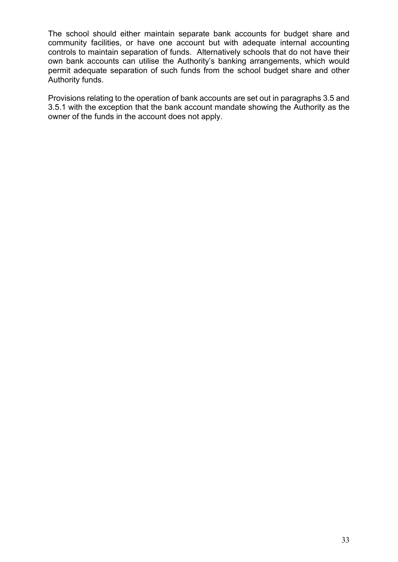The school should either maintain separate bank accounts for budget share and community facilities, or have one account but with adequate internal accounting controls to maintain separation of funds. Alternatively schools that do not have their own bank accounts can utilise the Authority's banking arrangements, which would permit adequate separation of such funds from the school budget share and other Authority funds.

Provisions relating to the operation of bank accounts are set out in paragraphs 3.5 and 3.5.1 with the exception that the bank account mandate showing the Authority as the owner of the funds in the account does not apply.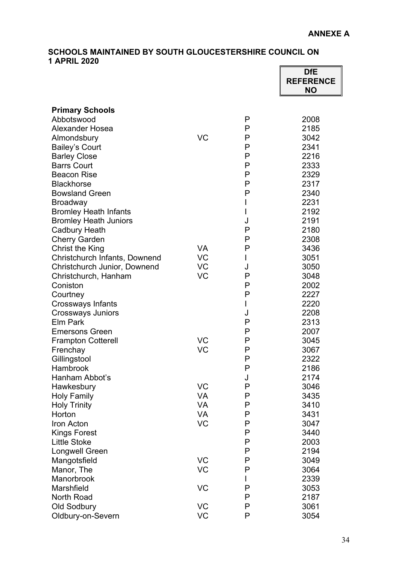#### **SCHOOLS MAINTAINED BY SOUTH GLOUCESTERSHIRE COUNCIL ON 1 APRIL 2020 DfE**

|                               |           |   | <b>DIE</b><br><b>REFERENCE</b><br><b>NO</b> |
|-------------------------------|-----------|---|---------------------------------------------|
| <b>Primary Schools</b>        |           |   |                                             |
| Abbotswood                    |           | P | 2008                                        |
| <b>Alexander Hosea</b>        |           | P | 2185                                        |
| Almondsbury                   | <b>VC</b> | Ρ | 3042                                        |
| <b>Bailey's Court</b>         |           | Ρ | 2341                                        |
| <b>Barley Close</b>           |           | Ρ | 2216                                        |
| <b>Barrs Court</b>            |           | Ρ | 2333                                        |
| <b>Beacon Rise</b>            |           | P | 2329                                        |
| <b>Blackhorse</b>             |           | Ρ | 2317                                        |
| <b>Bowsland Green</b>         |           | P | 2340                                        |
| <b>Broadway</b>               |           | I | 2231                                        |
| <b>Bromley Heath Infants</b>  |           | I | 2192                                        |
| <b>Bromley Heath Juniors</b>  |           | J | 2191                                        |
| <b>Cadbury Heath</b>          |           | P | 2180                                        |
| <b>Cherry Garden</b>          |           | Ρ | 2308                                        |
| <b>Christ the King</b>        | <b>VA</b> | Ρ | 3436                                        |
| Christchurch Infants, Downend | <b>VC</b> | L | 3051                                        |
| Christchurch Junior, Downend  | <b>VC</b> | J | 3050                                        |
| Christchurch, Hanham          | VC        | P | 3048                                        |
| Coniston                      |           | Ρ | 2002                                        |
| Courtney                      |           | P | 2227                                        |
| <b>Crossways Infants</b>      |           | L | 2220                                        |
| <b>Crossways Juniors</b>      |           | J | 2208                                        |
| <b>Elm Park</b>               |           | P | 2313                                        |
| <b>Emersons Green</b>         |           | Ρ | 2007                                        |
| <b>Frampton Cotterell</b>     | VC        | Ρ | 3045                                        |
| Frenchay                      | VC        | P | 3067                                        |
| Gillingstool                  |           | P | 2322                                        |
| Hambrook                      |           | P | 2186                                        |
| Hanham Abbot's                |           | J | 2174                                        |
| Hawkesbury                    | VC        | P | 3046                                        |
| <b>Holy Family</b>            | <b>VA</b> | P | 3435                                        |
| <b>Holy Trinity</b>           | <b>VA</b> | P | 3410                                        |
| Horton                        | <b>VA</b> | P | 3431                                        |
| Iron Acton                    | <b>VC</b> | P | 3047                                        |
| <b>Kings Forest</b>           |           | P | 3440                                        |
| <b>Little Stoke</b>           |           | P | 2003                                        |
| <b>Longwell Green</b>         |           | Ρ | 2194                                        |
| Mangotsfield                  | <b>VC</b> | P | 3049                                        |
| Manor, The                    | <b>VC</b> | P | 3064                                        |
| Manorbrook                    |           | L | 2339                                        |
| Marshfield                    | VC        | P | 3053                                        |
| <b>North Road</b>             |           | Ρ | 2187                                        |
| Old Sodbury                   | <b>VC</b> | P | 3061                                        |
| Oldbury-on-Severn             | <b>VC</b> | P | 3054                                        |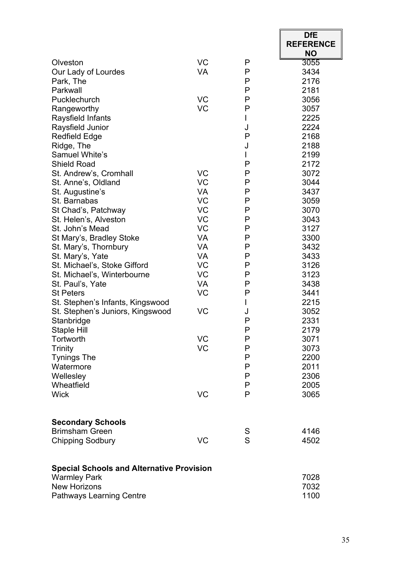|                                                  |           |        | <b>DfE</b>       |
|--------------------------------------------------|-----------|--------|------------------|
|                                                  |           |        | <b>REFERENCE</b> |
|                                                  |           |        | <b>NO</b>        |
| Olveston                                         | VC        | P      | 3055             |
| Our Lady of Lourdes                              | <b>VA</b> | Ρ      | 3434             |
| Park, The                                        |           | P      | 2176             |
| Parkwall                                         |           | P      | 2181             |
| Pucklechurch                                     | VC        | P      | 3056             |
| Rangeworthy                                      | <b>VC</b> | P      | 3057             |
| Raysfield Infants                                |           | L      | 2225<br>2224     |
| Raysfield Junior<br><b>Redfield Edge</b>         |           | J<br>P | 2168             |
|                                                  |           | J      | 2188             |
| Ridge, The<br><b>Samuel White's</b>              |           | L      | 2199             |
| <b>Shield Road</b>                               |           | P      | 2172             |
| St. Andrew's, Cromhall                           | <b>VC</b> | Ρ      | 3072             |
| St. Anne's, Oldland                              | <b>VC</b> | P      | 3044             |
| St. Augustine's                                  | <b>VA</b> | P      | 3437             |
| St. Barnabas                                     | VC        | P      | 3059             |
| St Chad's, Patchway                              | <b>VC</b> | P      | 3070             |
| St. Helen's, Alveston                            | <b>VC</b> | Ρ      | 3043             |
| St. John's Mead                                  | <b>VC</b> | P      | 3127             |
| St Mary's, Bradley Stoke                         | <b>VA</b> | P      | 3300             |
| St. Mary's, Thornbury                            | VA        | P      | 3432             |
| St. Mary's, Yate                                 | <b>VA</b> | P      | 3433             |
| St. Michael's, Stoke Gifford                     | VC        | P      | 3126             |
| St. Michael's, Winterbourne                      | VC        | P      | 3123             |
| St. Paul's, Yate                                 | <b>VA</b> | P      | 3438             |
| <b>St Peters</b>                                 | <b>VC</b> | P      | 3441             |
| St. Stephen's Infants, Kingswood                 |           | L      | 2215             |
| St. Stephen's Juniors, Kingswood                 | VC        | J      | 3052             |
| Stanbridge                                       |           | P      | 2331             |
| <b>Staple Hill</b>                               |           | P      | 2179             |
| Tortworth                                        | VC        | P      | 3071             |
| <b>Trinity</b>                                   | <b>VC</b> | Ρ      | 3073             |
| <b>Tynings The</b>                               |           | P      | 2200             |
| Watermore                                        |           | P      | 2011             |
| Wellesley                                        |           | P      | 2306             |
| Wheatfield                                       |           | P      | 2005             |
| <b>Wick</b>                                      | <b>VC</b> | P      | 3065             |
| <b>Secondary Schools</b>                         |           |        |                  |
| <b>Brimsham Green</b>                            |           | S      | 4146             |
| <b>Chipping Sodbury</b>                          | <b>VC</b> | S      | 4502             |
|                                                  |           |        |                  |
| <b>Special Schools and Alternative Provision</b> |           |        |                  |
| <b>Warmley Park</b>                              |           |        | 7028             |
| <b>New Horizons</b>                              |           |        | 7032             |
| <b>Pathways Learning Centre</b>                  |           |        | 1100             |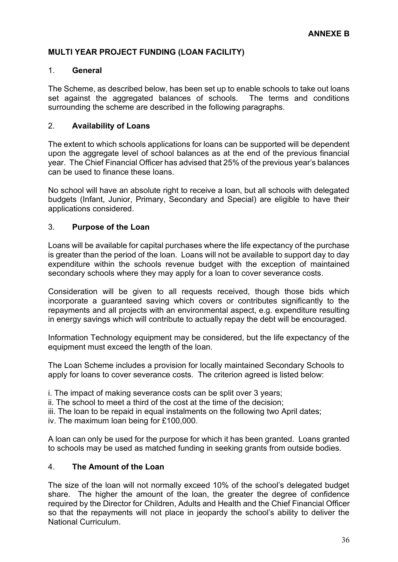## **MULTI YEAR PROJECT FUNDING (LOAN FACILITY)**

#### 1. **General**

The Scheme, as described below, has been set up to enable schools to take out loans set against the aggregated balances of schools. The terms and conditions surrounding the scheme are described in the following paragraphs.

#### 2. **Availability of Loans**

The extent to which schools applications for loans can be supported will be dependent upon the aggregate level of school balances as at the end of the previous financial year. The Chief Financial Officer has advised that 25% of the previous year's balances can be used to finance these loans.

No school will have an absolute right to receive a loan, but all schools with delegated budgets (Infant, Junior, Primary, Secondary and Special) are eligible to have their applications considered.

#### 3. **Purpose of the Loan**

Loans will be available for capital purchases where the life expectancy of the purchase is greater than the period of the loan. Loans will not be available to support day to day expenditure within the schools revenue budget with the exception of maintained secondary schools where they may apply for a loan to cover severance costs.

Consideration will be given to all requests received, though those bids which incorporate a guaranteed saving which covers or contributes significantly to the repayments and all projects with an environmental aspect, e.g. expenditure resulting in energy savings which will contribute to actually repay the debt will be encouraged.

Information Technology equipment may be considered, but the life expectancy of the equipment must exceed the length of the loan.

The Loan Scheme includes a provision for locally maintained Secondary Schools to apply for loans to cover severance costs. The criterion agreed is listed below:

i. The impact of making severance costs can be split over 3 years;

ii. The school to meet a third of the cost at the time of the decision;

iii. The loan to be repaid in equal instalments on the following two April dates;

iv. The maximum loan being for £100,000.

A loan can only be used for the purpose for which it has been granted. Loans granted to schools may be used as matched funding in seeking grants from outside bodies.

#### 4. **The Amount of the Loan**

The size of the loan will not normally exceed 10% of the school's delegated budget share. The higher the amount of the loan, the greater the degree of confidence required by the Director for Children, Adults and Health and the Chief Financial Officer so that the repayments will not place in jeopardy the school's ability to deliver the National Curriculum.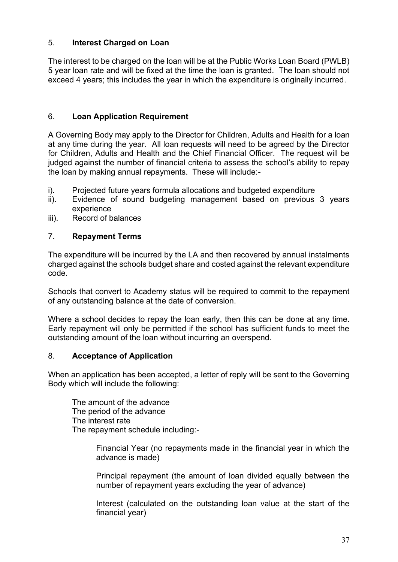## 5. **Interest Charged on Loan**

The interest to be charged on the loan will be at the Public Works Loan Board (PWLB) 5 year loan rate and will be fixed at the time the loan is granted. The loan should not exceed 4 years; this includes the year in which the expenditure is originally incurred.

## 6. **Loan Application Requirement**

A Governing Body may apply to the Director for Children, Adults and Health for a loan at any time during the year. All loan requests will need to be agreed by the Director for Children, Adults and Health and the Chief Financial Officer. The request will be judged against the number of financial criteria to assess the school's ability to repay the loan by making annual repayments. These will include:-

- i). Projected future years formula allocations and budgeted expenditure
- ii). Evidence of sound budgeting management based on previous 3 years experience
- iii). Record of balances

### 7. **Repayment Terms**

The expenditure will be incurred by the LA and then recovered by annual instalments charged against the schools budget share and costed against the relevant expenditure code.

Schools that convert to Academy status will be required to commit to the repayment of any outstanding balance at the date of conversion.

Where a school decides to repay the loan early, then this can be done at any time. Early repayment will only be permitted if the school has sufficient funds to meet the outstanding amount of the loan without incurring an overspend.

#### 8. **Acceptance of Application**

When an application has been accepted, a letter of reply will be sent to the Governing Body which will include the following:

The amount of the advance The period of the advance The interest rate The repayment schedule including:-

> Financial Year (no repayments made in the financial year in which the advance is made)

> Principal repayment (the amount of loan divided equally between the number of repayment years excluding the year of advance)

> Interest (calculated on the outstanding loan value at the start of the financial year)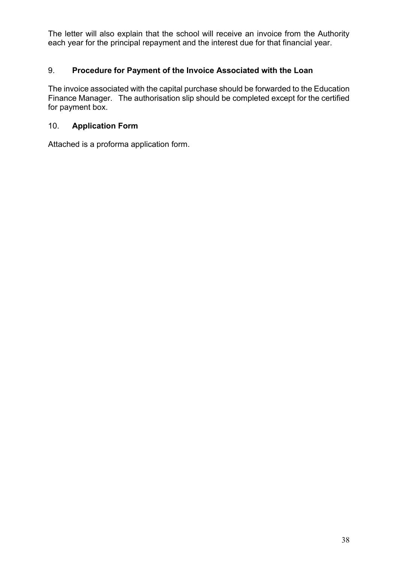The letter will also explain that the school will receive an invoice from the Authority each year for the principal repayment and the interest due for that financial year.

### 9. **Procedure for Payment of the Invoice Associated with the Loan**

The invoice associated with the capital purchase should be forwarded to the Education Finance Manager. The authorisation slip should be completed except for the certified for payment box.

## 10. **Application Form**

Attached is a proforma application form.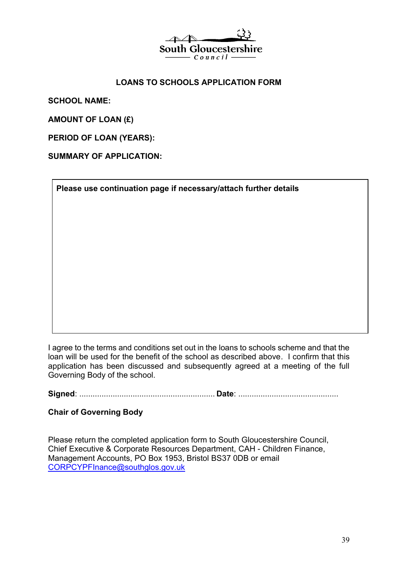

#### **LOANS TO SCHOOLS APPLICATION FORM**

**SCHOOL NAME:** 

**AMOUNT OF LOAN (£)** 

**PERIOD OF LOAN (YEARS):** 

**SUMMARY OF APPLICATION:**

**Please use continuation page if necessary/attach further details**

I agree to the terms and conditions set out in the loans to schools scheme and that the loan will be used for the benefit of the school as described above. I confirm that this application has been discussed and subsequently agreed at a meeting of the full Governing Body of the school.

**Signed**: ............................................................. **Date**: .............................................

### **Chair of Governing Body**

Please return the completed application form to South Gloucestershire Council, Chief Executive & Corporate Resources Department, CAH - Children Finance, Management Accounts, PO Box 1953, Bristol BS37 0DB or email [CORPCYPFInance@southglos.gov.uk](mailto:CORPCYPFInance@southglos.gov.uk)